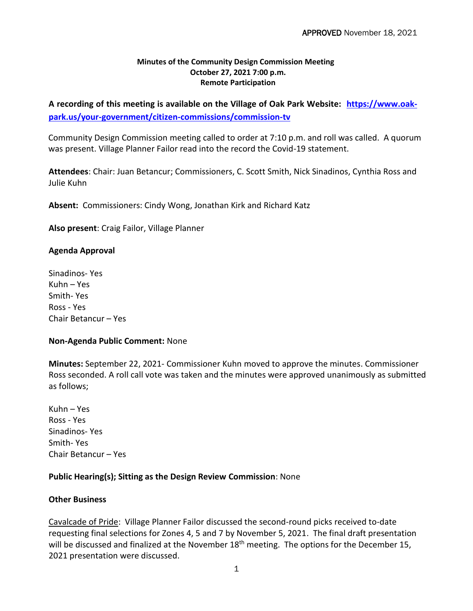## **Minutes of the Community Design Commission Meeting October 27, 2021 7:00 p.m. Remote Participation**

**A recording of this meeting is available on the Village of Oak Park Website: [https://www.oak](https://www.oak-park.us/your-government/citizen-commissions/commission-tv)[park.us/your-government/citizen-commissions/commission-tv](https://www.oak-park.us/your-government/citizen-commissions/commission-tv)**

Community Design Commission meeting called to order at 7:10 p.m. and roll was called. A quorum was present. Village Planner Failor read into the record the Covid-19 statement.

**Attendees**: Chair: Juan Betancur; Commissioners, C. Scott Smith, Nick Sinadinos, Cynthia Ross and Julie Kuhn

**Absent:** Commissioners: Cindy Wong, Jonathan Kirk and Richard Katz

**Also present**: Craig Failor, Village Planner

# **Agenda Approval**

Sinadinos- Yes Kuhn – Yes Smith- Yes Ross - Yes Chair Betancur – Yes

### **Non-Agenda Public Comment:** None

**Minutes:** September 22, 2021- Commissioner Kuhn moved to approve the minutes. Commissioner Ross seconded. A roll call vote was taken and the minutes were approved unanimously as submitted as follows;

Kuhn – Yes Ross - Yes Sinadinos- Yes Smith- Yes Chair Betancur – Yes

# **Public Hearing(s); Sitting as the Design Review Commission**: None

### **Other Business**

Cavalcade of Pride: Village Planner Failor discussed the second-round picks received to-date requesting final selections for Zones 4, 5 and 7 by November 5, 2021. The final draft presentation will be discussed and finalized at the November 18<sup>th</sup> meeting. The options for the December 15, 2021 presentation were discussed.